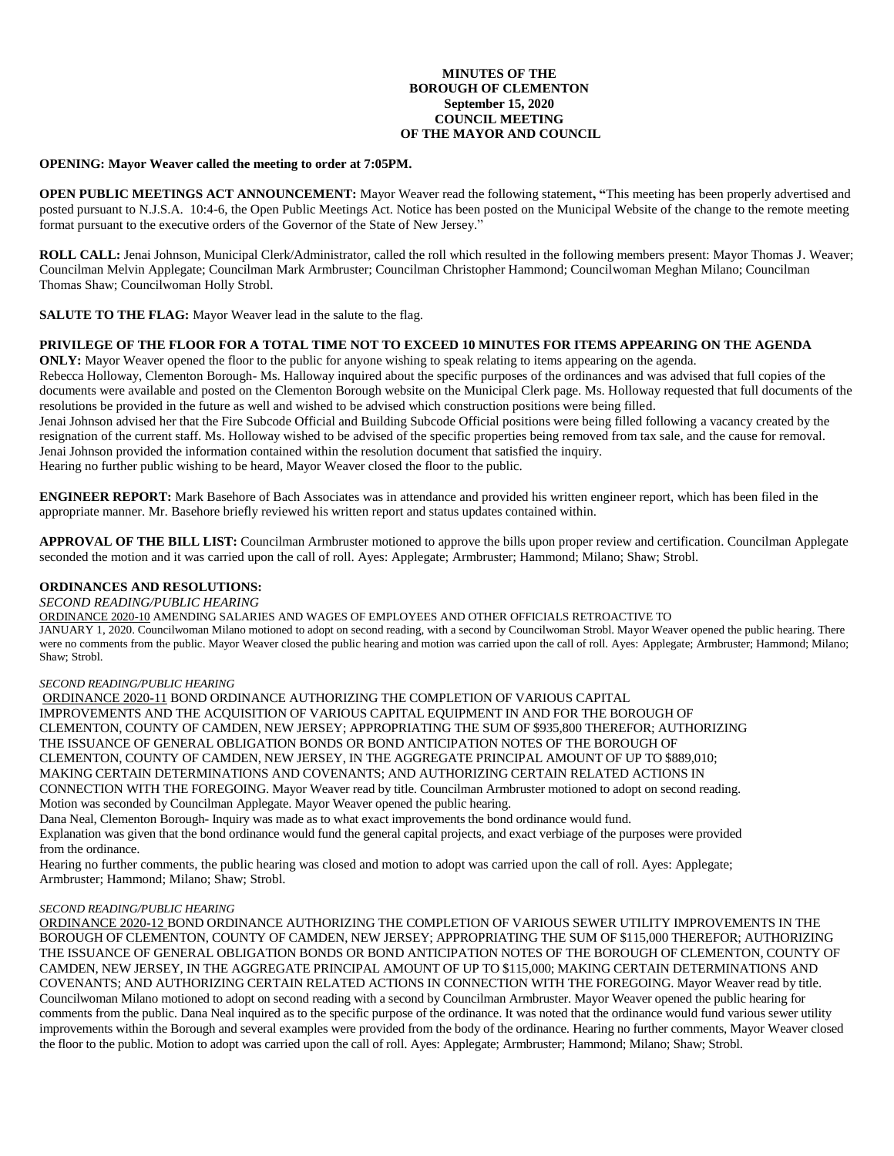## **MINUTES OF THE BOROUGH OF CLEMENTON September 15, 2020 COUNCIL MEETING OF THE MAYOR AND COUNCIL**

### **OPENING: Mayor Weaver called the meeting to order at 7:05PM.**

**OPEN PUBLIC MEETINGS ACT ANNOUNCEMENT:** Mayor Weaver read the following statement**, "**This meeting has been properly advertised and posted pursuant to N.J.S.A. 10:4-6, the Open Public Meetings Act. Notice has been posted on the Municipal Website of the change to the remote meeting format pursuant to the executive orders of the Governor of the State of New Jersey."

**ROLL CALL:** Jenai Johnson, Municipal Clerk/Administrator, called the roll which resulted in the following members present: Mayor Thomas J. Weaver; Councilman Melvin Applegate; Councilman Mark Armbruster; Councilman Christopher Hammond; Councilwoman Meghan Milano; Councilman Thomas Shaw; Councilwoman Holly Strobl.

**SALUTE TO THE FLAG:** Mayor Weaver lead in the salute to the flag.

### **PRIVILEGE OF THE FLOOR FOR A TOTAL TIME NOT TO EXCEED 10 MINUTES FOR ITEMS APPEARING ON THE AGENDA**

**ONLY:** Mayor Weaver opened the floor to the public for anyone wishing to speak relating to items appearing on the agenda.

Rebecca Holloway, Clementon Borough- Ms. Halloway inquired about the specific purposes of the ordinances and was advised that full copies of the documents were available and posted on the Clementon Borough website on the Municipal Clerk page. Ms. Holloway requested that full documents of the resolutions be provided in the future as well and wished to be advised which construction positions were being filled.

Jenai Johnson advised her that the Fire Subcode Official and Building Subcode Official positions were being filled following a vacancy created by the resignation of the current staff. Ms. Holloway wished to be advised of the specific properties being removed from tax sale, and the cause for removal. Jenai Johnson provided the information contained within the resolution document that satisfied the inquiry. Hearing no further public wishing to be heard, Mayor Weaver closed the floor to the public.

**ENGINEER REPORT:** Mark Basehore of Bach Associates was in attendance and provided his written engineer report, which has been filed in the appropriate manner. Mr. Basehore briefly reviewed his written report and status updates contained within.

**APPROVAL OF THE BILL LIST:** Councilman Armbruster motioned to approve the bills upon proper review and certification. Councilman Applegate seconded the motion and it was carried upon the call of roll. Ayes: Applegate; Armbruster; Hammond; Milano; Shaw; Strobl.

### **ORDINANCES AND RESOLUTIONS:**

### *SECOND READING/PUBLIC HEARING*

ORDINANCE 2020-10 AMENDING SALARIES AND WAGES OF EMPLOYEES AND OTHER OFFICIALS RETROACTIVE TO

JANUARY 1, 2020. Councilwoman Milano motioned to adopt on second reading, with a second by Councilwoman Strobl. Mayor Weaver opened the public hearing. There were no comments from the public. Mayor Weaver closed the public hearing and motion was carried upon the call of roll. Ayes: Applegate; Armbruster; Hammond; Milano; Shaw; Strobl.

### *SECOND READING/PUBLIC HEARING*

ORDINANCE 2020-11 BOND ORDINANCE AUTHORIZING THE COMPLETION OF VARIOUS CAPITAL IMPROVEMENTS AND THE ACQUISITION OF VARIOUS CAPITAL EQUIPMENT IN AND FOR THE BOROUGH OF CLEMENTON, COUNTY OF CAMDEN, NEW JERSEY; APPROPRIATING THE SUM OF \$935,800 THEREFOR; AUTHORIZING THE ISSUANCE OF GENERAL OBLIGATION BONDS OR BOND ANTICIPATION NOTES OF THE BOROUGH OF CLEMENTON, COUNTY OF CAMDEN, NEW JERSEY, IN THE AGGREGATE PRINCIPAL AMOUNT OF UP TO \$889,010; MAKING CERTAIN DETERMINATIONS AND COVENANTS; AND AUTHORIZING CERTAIN RELATED ACTIONS IN CONNECTION WITH THE FOREGOING. Mayor Weaver read by title. Councilman Armbruster motioned to adopt on second reading. Motion was seconded by Councilman Applegate. Mayor Weaver opened the public hearing.

Dana Neal, Clementon Borough- Inquiry was made as to what exact improvements the bond ordinance would fund. Explanation was given that the bond ordinance would fund the general capital projects, and exact verbiage of the purposes were provided from the ordinance.

Hearing no further comments, the public hearing was closed and motion to adopt was carried upon the call of roll. Ayes: Applegate; Armbruster; Hammond; Milano; Shaw; Strobl.

#### *SECOND READING/PUBLIC HEARING*

ORDINANCE 2020-12 BOND ORDINANCE AUTHORIZING THE COMPLETION OF VARIOUS SEWER UTILITY IMPROVEMENTS IN THE BOROUGH OF CLEMENTON, COUNTY OF CAMDEN, NEW JERSEY; APPROPRIATING THE SUM OF \$115,000 THEREFOR; AUTHORIZING THE ISSUANCE OF GENERAL OBLIGATION BONDS OR BOND ANTICIPATION NOTES OF THE BOROUGH OF CLEMENTON, COUNTY OF CAMDEN, NEW JERSEY, IN THE AGGREGATE PRINCIPAL AMOUNT OF UP TO \$115,000; MAKING CERTAIN DETERMINATIONS AND COVENANTS; AND AUTHORIZING CERTAIN RELATED ACTIONS IN CONNECTION WITH THE FOREGOING. Mayor Weaver read by title. Councilwoman Milano motioned to adopt on second reading with a second by Councilman Armbruster. Mayor Weaver opened the public hearing for comments from the public. Dana Neal inquired as to the specific purpose of the ordinance. It was noted that the ordinance would fund various sewer utility improvements within the Borough and several examples were provided from the body of the ordinance. Hearing no further comments, Mayor Weaver closed the floor to the public. Motion to adopt was carried upon the call of roll. Ayes: Applegate; Armbruster; Hammond; Milano; Shaw; Strobl.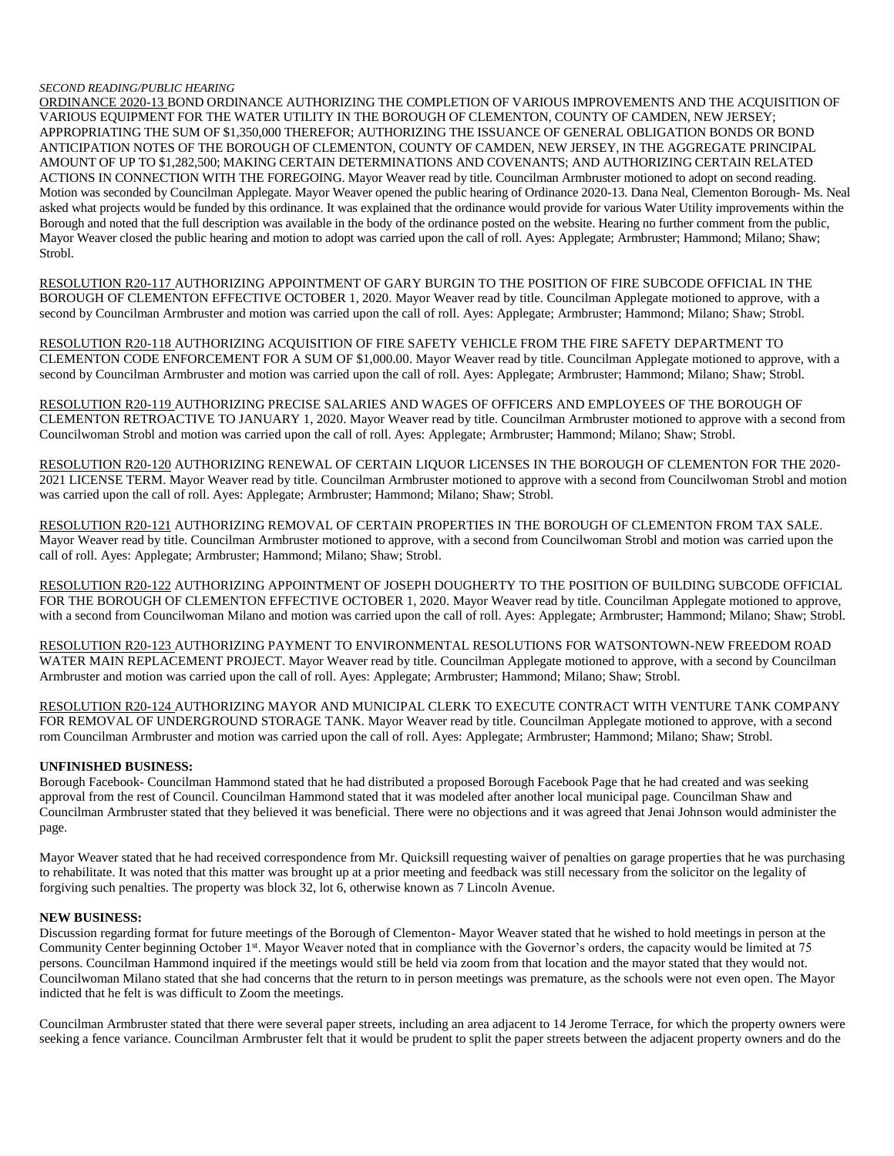#### *SECOND READING/PUBLIC HEARING*

ORDINANCE 2020-13 BOND ORDINANCE AUTHORIZING THE COMPLETION OF VARIOUS IMPROVEMENTS AND THE ACQUISITION OF VARIOUS EQUIPMENT FOR THE WATER UTILITY IN THE BOROUGH OF CLEMENTON, COUNTY OF CAMDEN, NEW JERSEY; APPROPRIATING THE SUM OF \$1,350,000 THEREFOR; AUTHORIZING THE ISSUANCE OF GENERAL OBLIGATION BONDS OR BOND ANTICIPATION NOTES OF THE BOROUGH OF CLEMENTON, COUNTY OF CAMDEN, NEW JERSEY, IN THE AGGREGATE PRINCIPAL AMOUNT OF UP TO \$1,282,500; MAKING CERTAIN DETERMINATIONS AND COVENANTS; AND AUTHORIZING CERTAIN RELATED ACTIONS IN CONNECTION WITH THE FOREGOING. Mayor Weaver read by title. Councilman Armbruster motioned to adopt on second reading. Motion was seconded by Councilman Applegate. Mayor Weaver opened the public hearing of Ordinance 2020-13. Dana Neal, Clementon Borough- Ms. Neal asked what projects would be funded by this ordinance. It was explained that the ordinance would provide for various Water Utility improvements within the Borough and noted that the full description was available in the body of the ordinance posted on the website. Hearing no further comment from the public, Mayor Weaver closed the public hearing and motion to adopt was carried upon the call of roll. Ayes: Applegate; Armbruster; Hammond; Milano; Shaw; Strobl.

RESOLUTION R20-117 AUTHORIZING APPOINTMENT OF GARY BURGIN TO THE POSITION OF FIRE SUBCODE OFFICIAL IN THE BOROUGH OF CLEMENTON EFFECTIVE OCTOBER 1, 2020. Mayor Weaver read by title. Councilman Applegate motioned to approve, with a second by Councilman Armbruster and motion was carried upon the call of roll. Ayes: Applegate; Armbruster; Hammond; Milano; Shaw; Strobl.

RESOLUTION R20-118 AUTHORIZING ACQUISITION OF FIRE SAFETY VEHICLE FROM THE FIRE SAFETY DEPARTMENT TO CLEMENTON CODE ENFORCEMENT FOR A SUM OF \$1,000.00. Mayor Weaver read by title. Councilman Applegate motioned to approve, with a second by Councilman Armbruster and motion was carried upon the call of roll. Ayes: Applegate; Armbruster; Hammond; Milano; Shaw; Strobl.

RESOLUTION R20-119 AUTHORIZING PRECISE SALARIES AND WAGES OF OFFICERS AND EMPLOYEES OF THE BOROUGH OF CLEMENTON RETROACTIVE TO JANUARY 1, 2020. Mayor Weaver read by title. Councilman Armbruster motioned to approve with a second from Councilwoman Strobl and motion was carried upon the call of roll. Ayes: Applegate; Armbruster; Hammond; Milano; Shaw; Strobl.

RESOLUTION R20-120 AUTHORIZING RENEWAL OF CERTAIN LIQUOR LICENSES IN THE BOROUGH OF CLEMENTON FOR THE 2020- 2021 LICENSE TERM. Mayor Weaver read by title. Councilman Armbruster motioned to approve with a second from Councilwoman Strobl and motion was carried upon the call of roll. Ayes: Applegate; Armbruster; Hammond; Milano; Shaw; Strobl.

RESOLUTION R20-121 AUTHORIZING REMOVAL OF CERTAIN PROPERTIES IN THE BOROUGH OF CLEMENTON FROM TAX SALE. Mayor Weaver read by title. Councilman Armbruster motioned to approve, with a second from Councilwoman Strobl and motion was carried upon the call of roll. Ayes: Applegate; Armbruster; Hammond; Milano; Shaw; Strobl.

RESOLUTION R20-122 AUTHORIZING APPOINTMENT OF JOSEPH DOUGHERTY TO THE POSITION OF BUILDING SUBCODE OFFICIAL FOR THE BOROUGH OF CLEMENTON EFFECTIVE OCTOBER 1, 2020. Mayor Weaver read by title. Councilman Applegate motioned to approve, with a second from Councilwoman Milano and motion was carried upon the call of roll. Ayes: Applegate; Armbruster; Hammond; Milano; Shaw; Strobl.

RESOLUTION R20-123 AUTHORIZING PAYMENT TO ENVIRONMENTAL RESOLUTIONS FOR WATSONTOWN-NEW FREEDOM ROAD WATER MAIN REPLACEMENT PROJECT. Mayor Weaver read by title. Councilman Applegate motioned to approve, with a second by Councilman Armbruster and motion was carried upon the call of roll. Ayes: Applegate; Armbruster; Hammond; Milano; Shaw; Strobl.

RESOLUTION R20-124 AUTHORIZING MAYOR AND MUNICIPAL CLERK TO EXECUTE CONTRACT WITH VENTURE TANK COMPANY FOR REMOVAL OF UNDERGROUND STORAGE TANK. Mayor Weaver read by title. Councilman Applegate motioned to approve, with a second rom Councilman Armbruster and motion was carried upon the call of roll. Ayes: Applegate; Armbruster; Hammond; Milano; Shaw; Strobl.

# **UNFINISHED BUSINESS:**

Borough Facebook- Councilman Hammond stated that he had distributed a proposed Borough Facebook Page that he had created and was seeking approval from the rest of Council. Councilman Hammond stated that it was modeled after another local municipal page. Councilman Shaw and Councilman Armbruster stated that they believed it was beneficial. There were no objections and it was agreed that Jenai Johnson would administer the page.

Mayor Weaver stated that he had received correspondence from Mr. Quicksill requesting waiver of penalties on garage properties that he was purchasing to rehabilitate. It was noted that this matter was brought up at a prior meeting and feedback was still necessary from the solicitor on the legality of forgiving such penalties. The property was block 32, lot 6, otherwise known as 7 Lincoln Avenue.

# **NEW BUSINESS:**

Discussion regarding format for future meetings of the Borough of Clementon- Mayor Weaver stated that he wished to hold meetings in person at the Community Center beginning October 1st. Mayor Weaver noted that in compliance with the Governor's orders, the capacity would be limited at 75 persons. Councilman Hammond inquired if the meetings would still be held via zoom from that location and the mayor stated that they would not. Councilwoman Milano stated that she had concerns that the return to in person meetings was premature, as the schools were not even open. The Mayor indicted that he felt is was difficult to Zoom the meetings.

Councilman Armbruster stated that there were several paper streets, including an area adjacent to 14 Jerome Terrace, for which the property owners were seeking a fence variance. Councilman Armbruster felt that it would be prudent to split the paper streets between the adjacent property owners and do the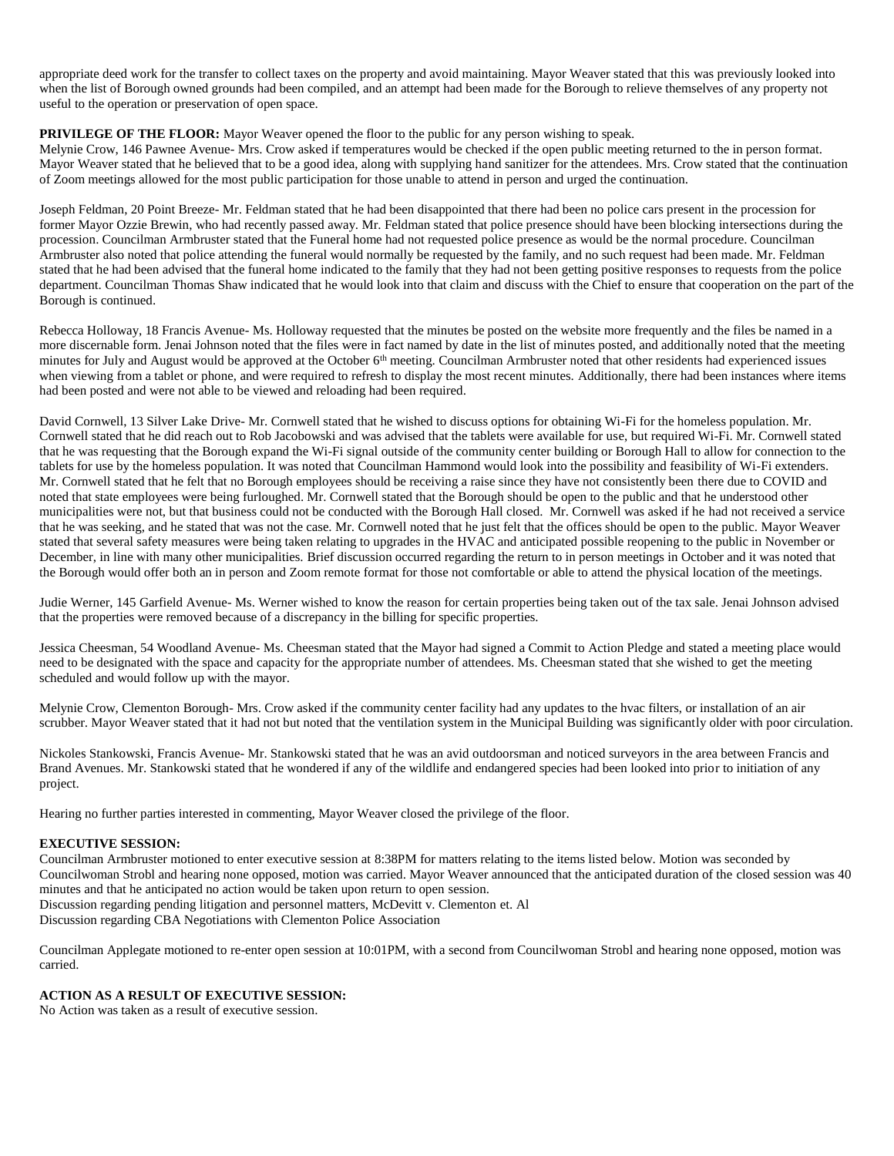appropriate deed work for the transfer to collect taxes on the property and avoid maintaining. Mayor Weaver stated that this was previously looked into when the list of Borough owned grounds had been compiled, and an attempt had been made for the Borough to relieve themselves of any property not useful to the operation or preservation of open space.

# **PRIVILEGE OF THE FLOOR:** Mayor Weaver opened the floor to the public for any person wishing to speak.

Melynie Crow, 146 Pawnee Avenue- Mrs. Crow asked if temperatures would be checked if the open public meeting returned to the in person format. Mayor Weaver stated that he believed that to be a good idea, along with supplying hand sanitizer for the attendees. Mrs. Crow stated that the continuation of Zoom meetings allowed for the most public participation for those unable to attend in person and urged the continuation.

Joseph Feldman, 20 Point Breeze- Mr. Feldman stated that he had been disappointed that there had been no police cars present in the procession for former Mayor Ozzie Brewin, who had recently passed away. Mr. Feldman stated that police presence should have been blocking intersections during the procession. Councilman Armbruster stated that the Funeral home had not requested police presence as would be the normal procedure. Councilman Armbruster also noted that police attending the funeral would normally be requested by the family, and no such request had been made. Mr. Feldman stated that he had been advised that the funeral home indicated to the family that they had not been getting positive responses to requests from the police department. Councilman Thomas Shaw indicated that he would look into that claim and discuss with the Chief to ensure that cooperation on the part of the Borough is continued.

Rebecca Holloway, 18 Francis Avenue- Ms. Holloway requested that the minutes be posted on the website more frequently and the files be named in a more discernable form. Jenai Johnson noted that the files were in fact named by date in the list of minutes posted, and additionally noted that the meeting minutes for July and August would be approved at the October 6<sup>th</sup> meeting. Councilman Armbruster noted that other residents had experienced issues when viewing from a tablet or phone, and were required to refresh to display the most recent minutes. Additionally, there had been instances where items had been posted and were not able to be viewed and reloading had been required.

David Cornwell, 13 Silver Lake Drive- Mr. Cornwell stated that he wished to discuss options for obtaining Wi-Fi for the homeless population. Mr. Cornwell stated that he did reach out to Rob Jacobowski and was advised that the tablets were available for use, but required Wi-Fi. Mr. Cornwell stated that he was requesting that the Borough expand the Wi-Fi signal outside of the community center building or Borough Hall to allow for connection to the tablets for use by the homeless population. It was noted that Councilman Hammond would look into the possibility and feasibility of Wi-Fi extenders. Mr. Cornwell stated that he felt that no Borough employees should be receiving a raise since they have not consistently been there due to COVID and noted that state employees were being furloughed. Mr. Cornwell stated that the Borough should be open to the public and that he understood other municipalities were not, but that business could not be conducted with the Borough Hall closed. Mr. Cornwell was asked if he had not received a service that he was seeking, and he stated that was not the case. Mr. Cornwell noted that he just felt that the offices should be open to the public. Mayor Weaver stated that several safety measures were being taken relating to upgrades in the HVAC and anticipated possible reopening to the public in November or December, in line with many other municipalities. Brief discussion occurred regarding the return to in person meetings in October and it was noted that the Borough would offer both an in person and Zoom remote format for those not comfortable or able to attend the physical location of the meetings.

Judie Werner, 145 Garfield Avenue- Ms. Werner wished to know the reason for certain properties being taken out of the tax sale. Jenai Johnson advised that the properties were removed because of a discrepancy in the billing for specific properties.

Jessica Cheesman, 54 Woodland Avenue- Ms. Cheesman stated that the Mayor had signed a Commit to Action Pledge and stated a meeting place would need to be designated with the space and capacity for the appropriate number of attendees. Ms. Cheesman stated that she wished to get the meeting scheduled and would follow up with the mayor.

Melynie Crow, Clementon Borough- Mrs. Crow asked if the community center facility had any updates to the hvac filters, or installation of an air scrubber. Mayor Weaver stated that it had not but noted that the ventilation system in the Municipal Building was significantly older with poor circulation.

Nickoles Stankowski, Francis Avenue- Mr. Stankowski stated that he was an avid outdoorsman and noticed surveyors in the area between Francis and Brand Avenues. Mr. Stankowski stated that he wondered if any of the wildlife and endangered species had been looked into prior to initiation of any project.

Hearing no further parties interested in commenting, Mayor Weaver closed the privilege of the floor.

# **EXECUTIVE SESSION:**

Councilman Armbruster motioned to enter executive session at 8:38PM for matters relating to the items listed below. Motion was seconded by Councilwoman Strobl and hearing none opposed, motion was carried. Mayor Weaver announced that the anticipated duration of the closed session was 40 minutes and that he anticipated no action would be taken upon return to open session. Discussion regarding pending litigation and personnel matters, McDevitt v. Clementon et. Al

Discussion regarding CBA Negotiations with Clementon Police Association

Councilman Applegate motioned to re-enter open session at 10:01PM, with a second from Councilwoman Strobl and hearing none opposed, motion was carried.

# **ACTION AS A RESULT OF EXECUTIVE SESSION:**

No Action was taken as a result of executive session.